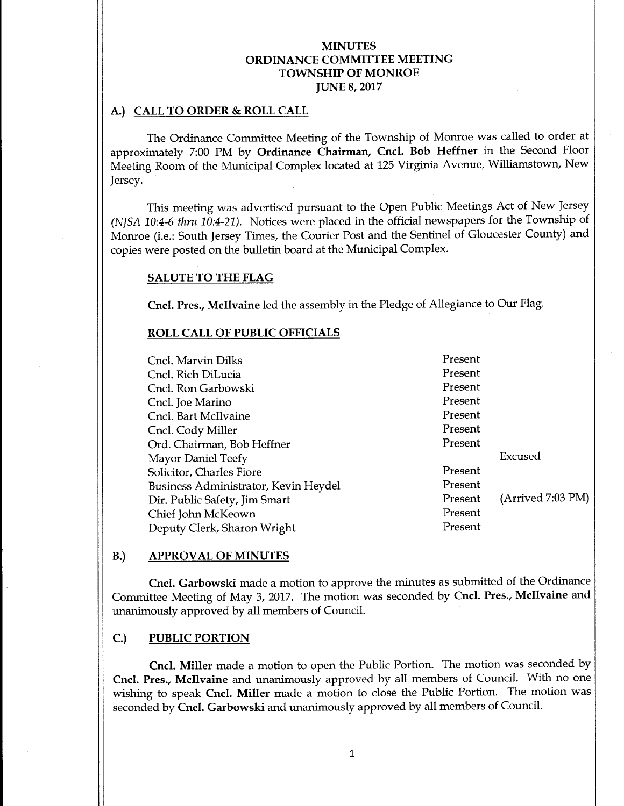## A.) CALL TO ORDER & ROLL CALL

The Ordinance Committee Meeting of the Township of Monroe was called to order at approximately 7:00 PM by Ordinance Chairman, Cncl. Bob Heffner in the Second Floor Meeting Room of the Municipal Complex located at 125 Virginia Avenue, Williamstown, New Jersey.

This meeting was advertised pursuant to the Open Public Meetings Act of New Jersey NJSA 10:4-<sup>6</sup> thru 10:4-21). Notices were placed in the official newspapers for the Township of Monroe (i.e.: South Jersey Times, the Courier Post and the Sentinel of Gloucester County) and copies were posted on the bulletin board at the Municipal Complex.

#### SALUTE TO THE FLAG

Cncl. Pres., Mcllvaine led the assembly in the Pledge of Allegiance to Our Flag.

#### ROLL CALL OF PUBLIC OFFICIALS

Cncl. Marvin Dilks Present Cncl. Rich DiLucia **Present** Cncl. Ron Garbowski Present Cncl. Joe Marino Present Cncl. Bart Mcllvaine Present Cncl. Cody Miller Present<br>Crd. Chairman. Bob Heffner Present Ord. Chairman, Bob Heffner Mayor Daniel Teefy Excused<br>
Solicitor Charles Fiore Solicitor Charles Fiore Solicitor Charles Fiore Solicitor Charles Fiore Solicitor Cha Solicitor, Charles Fiore Business Administrator, Kevin Heydel Present Dir. Public Safety, Jim Smart Present (Arrived 7:03 PM)<br>
Chief John McKeown Chief John McKeown Deputy Clerk, Sharon Wright Present

#### B.) APPROVAL OF MINUTES

Cncl. Garbowski made a motion to approve the minutes as submitted of the Ordinance Committee Meeting of May 3, 2017. The motion was seconded by Cncl. Pres., Mcllvaine and unanimously approved by all members of Council.

#### C.) PUBLIC PORTION

Cncl. Miller made <sup>a</sup> motion to open the Public Portion. The motion was seconded by Cncl. Pres., Mcllvaine and unanimously approved by all members of Council. With no one wishing to speak Cncl. Miller made <sup>a</sup> motion to close the Public Portion. The motion was seconded by Cncl. Garbowski and unanimously approved by all members of Council.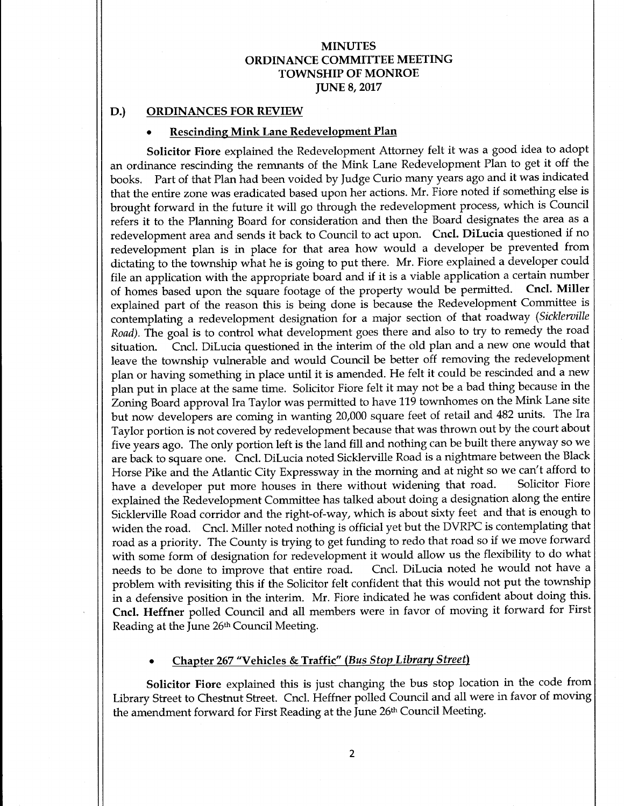#### D.) ORDINANCES FOR REVIEW

## Rescinding Mink Lane Redevelopment Plan

Solicitor Fiore explained the Redevelopment Attorney felt it was <sup>a</sup> good idea to adopt an ordinance rescinding the remnants of the Mink Lane Redevelopment Plan to get it off the books. Part of that Plan had been voided by Judge Curio many years ago and it was indicated that the entire zone was eradicated based upon her actions. Mr. Fiore noted if something else is brought forward in the future it will go through the redevelopment process, which is Council refers it to the Planning Board for consideration and then the Board designates the area as <sup>a</sup> redevelopment area and sends it back to Council to act upon. Cncl. DiLucia questioned if no redevelopment plan is in place for that area how would <sup>a</sup> developer be prevented from dictating to the township what he is going to put there. Mr. Fiore explained a developer could file an application with the appropriate board and if it is a viable application a certain number<br>of homes based upon the square footage of the property would be permitted. Cncl. Miller of homes based upon the square footage of the property would be permitted. explained part of the reason this is being done is because the Redevelopment Committee is contemplating a redevelopment designation for a major section of that roadway (Sicklerville Road). The goal is to control what development goes there and also to try to remedy the road situation. Cncl. DiLucia questioned in the interim of the old plan and a new one would that leave the township vulnerable and would Council be better off removing the redevelopment plan or having something in place until it is amended. He felt it could be rescinded and <sup>a</sup> new plan put in place at the same time. Solicitor Fiore felt it may not be <sup>a</sup> bad thing because in the Zoning Board approval Ira Taylor was permitted to have 119 townhomes on the Mink Lane site but now developers are coming in wanting 20,000 square feet of retail and <sup>482</sup> units. The Ira Taylor portion is not covered by redevelopment because that was thrown out by the court about five years ago. The only portion left is the land fill and nothing can be built there anyway so we are back to square one. Cncl. DiLucia noted Sicklerville Road is a nightmare between the Black Horse Pike and the Atlantic City Expressway in the morning and at night so we can't afford to have a developer put more houses in there without widening that road. Solicitor Fiore have a developer put more houses in there without widening that road. explained the Redevelopment Committee has talked about doing a designation along the entire Sicklerville Road corridor and the right-of-way, which is about sixty feet and that is enough to widen the road. Cncl. Miller noted nothing is official yet but the DVRPC is contemplating that road as <sup>a</sup> priority. The County is trying to get funding to redo that road so if we move forward with some form of designation for redevelopment it would allow us the flexibility to do what needs to be done to improve that entire road. Cncl. DiLucia noted he would not have <sup>a</sup> problem with revisiting this if the Solicitor felt confident that this would not put the township in a defensive position in the interim. Mr. Fiore indicated he was confident about doing this. Cncl. Heffner polled Council and all members were in favor of moving it forward for First Reading at the June 26th Council Meeting.

## Chapter 267" Vehicles & Traffic" (Bus Stop Library Street)

Solicitor Fiore explained this is just changing the bus stop location in the code from Library Street to Chestnut Street. Cncl. Heffner polled Council and all were in favor of moving the amendment forward for First Reading at the June 26th Council Meeting.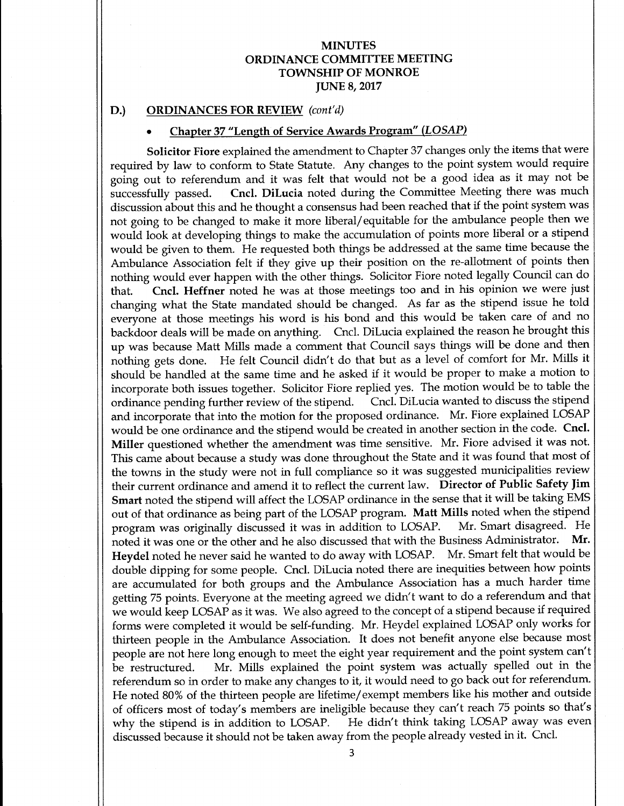#### D.) ORDINANCES FOR REVIEW (cont'd)

# Chapter 37 "Length of Service Awards Program" (LOSAP)

Solicitor Fiore explained the amendment to Chapter 37 changes only the items that were required by law to conform to State Statute. Any changes to the point system would require going out to referendum and it was felt that would not be a good idea as it may not be successfully passed. Cncl. DiLucia noted during the Committee Meeting there was much Cncl. DiLucia noted during the Committee Meeting there was much discussion about this and he thought <sup>a</sup> consensus had been reached that if the point system was not going to be changed to make it more liberal/ equitable for the ambulance people then we would look at developing things to make the accumulation of points more liberal or a stipend would be given to them. He requested both things be addressed at the same time because the Ambulance Association felt if they give up their position on the re-allotment of points then nothing would ever happen with the other things. Solicitor Fiore noted legally Council can do<br>that. Cncl. Heffner noted he was at those meetings too and in his opinion we were just Cncl. Heffner noted he was at those meetings too and in his opinion we were just changing what the State mandated should be changed. As far as the stipend issue he told everyone at those meetings his word is his bond and this would be taken care of and no backdoor deals will be made on anything. Cncl. DiLucia explained the reason he brought this up was because Matt Mills made <sup>a</sup> comment that Council says things will be done and then nothing gets done. He felt Council didn't do that but as <sup>a</sup> level of comfort for Mr. Mills it should be handled at the same time and he asked if it would be proper to make <sup>a</sup> motion to incorporate both issues together. Solicitor Fiore replied yes. The motion would be to table the ordinance pending further review of the stipend. Cncl. DiLucia wanted to discuss the stipend and incorporate that into the motion for the proposed ordinance. Mr. Fiore explained LOSAP would be one ordinance and the stipend would be created in another section in the code. Cncl. Miller questioned whether the amendment was time sensitive. Mr. Fiore advised it was not. This came about because <sup>a</sup> study was done throughout the State and it was found that most of the towns in the study were not in full compliance so it was suggested municipalities review their current ordinance and amend it to reflect the current law. Director of Public Safety Jim Smart noted the stipend will affect the LOSAP ordinance in the sense that it will be taking EMS out of that ordinance as being part of the LOSAP program. **Matt Mills** noted when the stipend<br>program was originally discussed it was in addition to LOSAP. Mr. Smart disagreed. He program was originally discussed it was in addition to LOSAP. Mr. Smart disagreed. He<br>noted it was one or the other and he also discussed that with the Business Administrator. Mr. noted it was one or the other and he also discussed that with the Business Administrator. Heydel noted he never said he wanted to do away with LOSAP. Mr. Smart felt that would be double dipping for some people. Cncl. DiLucia noted there are inequities between how points are accumulated for both groups and the Ambulance Association has a much harder time getting 75 points. Everyone at the meeting agreed we didn't want to do a referendum and that we would keep LOSAP as it was. We also agreed to the concept of <sup>a</sup> stipend because if required forms were completed it would be self-funding. Mr. Heydel explained LOSAP only works for thirteen people in the Ambulance Association. It does not benefit anyone else because most people are not here long enough to meet the eight year requirement and the point system can't<br>be restructured. Mr. Mills explained the point system was actually spelled out in the Mr. Mills explained the point system was actually spelled out in the referendum so in order to make any changes to it, it would need to go back out for referendum. He noted 80% of the thirteen people are lifetime/ exempt members like his mother and outside of officers most of today's members are ineligible because they can't reach 75 points so that's why the stipend is in addition to LOSAP. He didn't think taking LOSAP away was even He didn't think taking LOSAP away was even discussed because it should not be taken away from the people already vested in it. Cncl.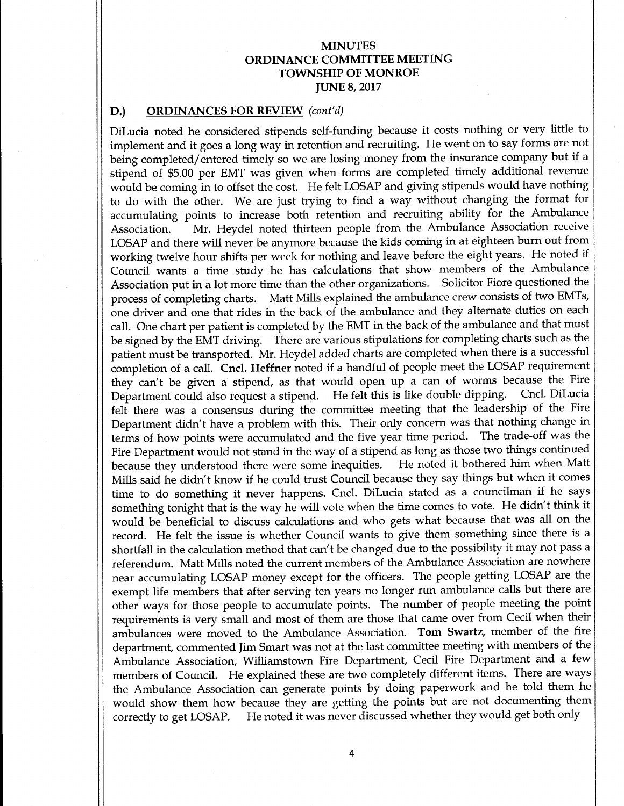#### D.) ORDINANCES FOR REVIEW (cont'd)

DiLucia noted he considered stipends self-funding because it costs nothing or very little to implement and it goes <sup>a</sup> long way in retention and recruiting. He went on to say forms are not being completed/ entered timely so we are losing money from the insurance company but if <sup>a</sup> stipend of \$5.00 per EMT was given when forms are completed timely additional revenue would be coming in to offset the cost. He felt LOSAP and giving stipends would have nothing to do with the other. We are just trying to find <sup>a</sup> way without changing the format for accumulating points to increase both retention and recruiting ability for the Ambulance Association. Mr. Heydel noted thirteen people from the Ambulance Association receive LOSAP and there will never be anymore because the kids coming in at eighteen burn out from working twelve hour shifts per week for nothing and leave before the eight years. He noted if Council wants a time study he has calculations that show members of the Ambulance Association put in a lot more time than the other organizations. Solicitor Fiore questioned the process of completing charts. Matt Mills explained the ambulance crew consists of two EMTs, one driver and one that rides in the back of the ambulance and they alternate duties on each call. One chart per patient is completed by the EMT in the back of the ambulance and that must be signed by the EMT driving. There are various stipulations for completing charts such as the patient must be transported. Mr. Heydel added charts are completed when there is a successful completion of a call. Cncl. Heffner noted if a handful of people meet the LOSAP requirement they can't be given a stipend, as that would open up a can of worms because the Fire<br>Department could also request a stipend He felt this is like double dipping. Cncl. DiLucia Department could also request a stipend. He felt this is like double dipping. felt there was a consensus during the committee meeting that the leadership of the Fire Department didn't have <sup>a</sup> problem with this. Their only concern was that nothing change in terms of how points were accumulated and the five year time period. The trade-off was the Fire Department would not stand in the way of a stipend as long as those two things continued<br>because they understood there were some inequities. He noted it bothered him when Matt because they understood there were some inequities. Mills said he didn't know if he could trust Council because they say things but when it comes time to do something it never happens. Cncl. DiLucia stated as a councilman if he says something tonight that is the way he will vote when the time comes to vote. He didn't think it would be beneficial to discuss calculations and who gets what because that was all on the record. He felt the issue is whether Council wants to give them something since there is a shortfall in the calculation method that can't be changed due to the possibility it may not pass <sup>a</sup> referendum. Matt Mills noted the current members of the Ambulance Association are nowhere near accumulating LOSAP money except for the officers. The people getting LOSAP are the exempt life members that after serving ten years no longer run ambulance calls but there are other ways for those people to accumulate points. The number of people meeting the point requirements is very small and most of them are those that came over from Cecil when their ambulances were moved to the Ambulance Association. Tom Swartz, member of the fire department, commented Jim Smart was not at the last committee meeting with members of the Ambulance Association, Williamstown Fire Department, Cecil Fire Department and a few members of Council. He explained these are two completely different items. There are ways the Ambulance Association can generate points by doing paperwork and he told them he would show them how because they are getting the points but are not documenting them correctly to get LOSAP. He noted it was never discussed whether they would get both only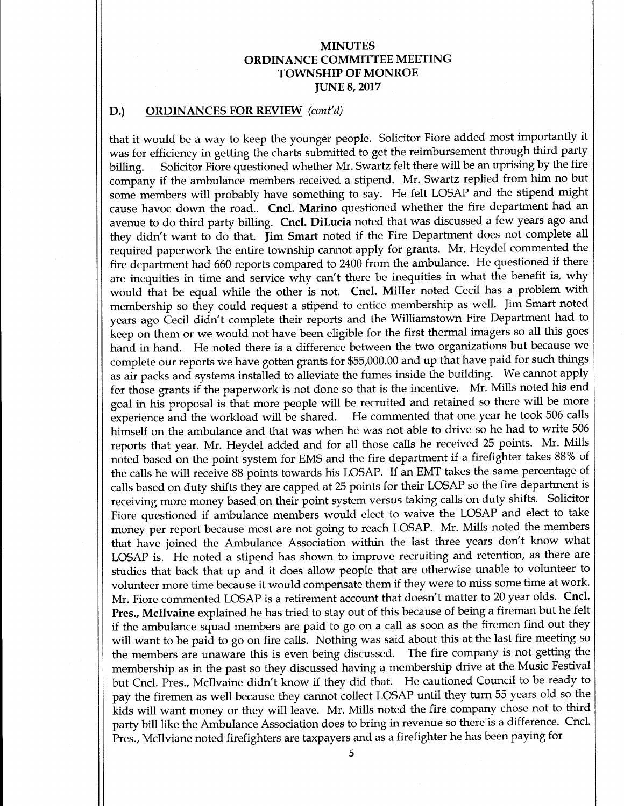## D.) ORDINANCES FOR REVIEW (cont'd)

that it would be <sup>a</sup> way to keep the younger people. Solicitor Fiore added most importantly it was for efficiency in getting the charts submitted to get the reimbursement through third party billing. Solicitor Fiore questioned whether Mr. Swartz felt there will be an uprising by the fire company if the ambulance members received <sup>a</sup> stipend. Mr. Swartz replied from him no but some members will probably have something to say. He felt LOSAP and the stipend might cause havoc down the road.. Cncl. Marino questioned whether the fire department had an avenue to do third party billing. Cncl. DiLucia noted that was discussed <sup>a</sup> few years ago and they didn't want to do that. Jim Smart noted if the Fire Department does not complete all required paperwork the entire township cannot apply for grants. Mr. Heydel commented the fire department had 660 reports compared to 2400 from the ambulance. He questioned if there are inequities in time and service why can't there be inequities in what the benefit is, why would that be equal while the other is not. Cncl. Miller noted Cecil has <sup>a</sup> problem with membership so they could request <sup>a</sup> stipend to entice membership as well. Jim Smart noted years ago Cecil didn't complete their reports and the Williamstown Fire Department had to keep on them or we would not have been eligible for the first thermal imagers so all this goes hand in hand. He noted there is a difference between the two organizations but because we complete our reports we have gotten grants for \$55,000.00 and up that have paid for such things as air packs and systems installed to alleviate the fumes inside the building. We cannot apply for those grants if the paperwork is not done so that is the incentive. Mr. Mills noted his end goal in his proposal is that more people will be recruited and retained so there will be more experience and the workload will be shared. He commented that one year he took 506 calls himself on the ambulance and that was when he was not able to drive so he had to write 506 reports that year. Mr. Heydel added and for all those calls he received <sup>25</sup> points. Mr. Mills noted based on the point system for EMS and the fire department if <sup>a</sup> firefighter takes 88% of the calls he will receive 88 points towards his LOSAP. If an EMT takes the same percentage of calls based on duty shifts they are capped at 25 points for their LOSAP so the fire department is receiving more money based on their point system versus taking calls on duty shifts. Solicitor Fiore questioned if ambulance members would elect to waive the LOSAP and elect to take money per report because most are not going to reach LOSAP. Mr. Mills noted the members that have joined the Ambulance Association within the last three years don't know what LOSAP is. He noted a stipend has shown to improve recruiting and retention, as there are studies that back that up and it does allow people that are otherwise unable to volunteer to volunteer more time because it would compensate them if they were to miss some time at work. Mr. Fiore commented LOSAP is a retirement account that doesn't matter to 20 year olds. Cncl. Pres., Mcllvaine explained he has tried to stay out of this because of being a fireman but he felt if the ambulance squad members are paid to go on <sup>a</sup> call as soon as the firemen find out they will want to be paid to go on fire calls. Nothing was said about this at the last fire meeting so the members are unaware this is even being discussed. The fire company is not getting the membership as in the past so they discussed having a membership drive at the Music Festival but Cncl. Pres., Mcllvaine didn't know if they did that. He cautioned Council to be ready to pay the firemen as well because they cannot collect LOSAP until they turn 55 years old so the kids will want money or they will leave. Mr. Mills noted the fire company chose not to third party bill like the Ambulance Association does to bring in revenue so there is a difference. Cncl. Pres., Mcllviane noted firefighters are taxpayers and as a firefighter he has been paying for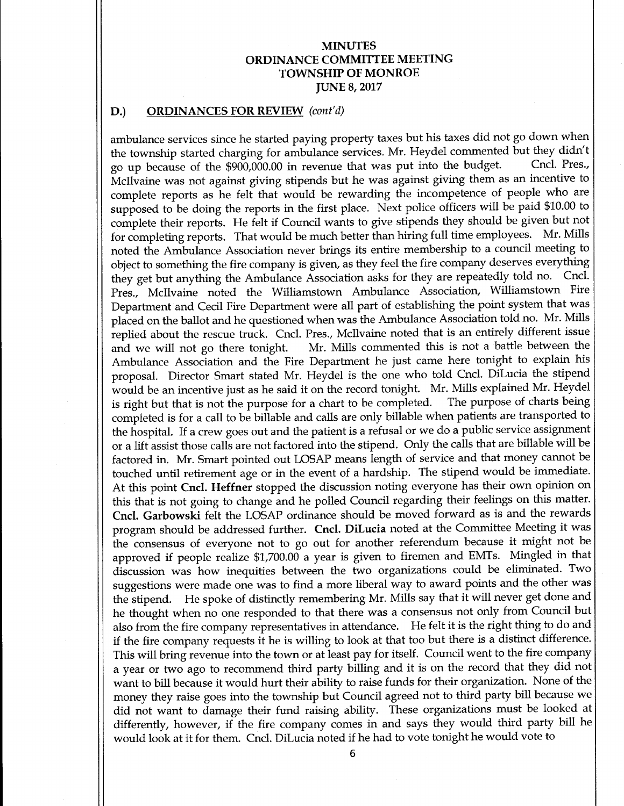#### D.) ORDINANCES FOR REVIEW (cont'd)

ambulance services since he started paying property taxes but his taxes did not go down when the township started charging for ambulance services. Mr. Heydel commented but they didn't<br>co up because of the \$900,000.00 in revenue that was put into the budget. Cncl. Pres. go up because of the \$900,000.00 in revenue that was put into the budget. McIlvaine was not against giving stipends but he was against giving them as an incentive to complete reports as he felt that would be rewarding the incompetence of people who are supposed to be doing the reports in the first place. Next police officers will be paid \$10.00 to complete their reports. He felt if Council wants to give stipends they should be given but not for completing reports. That would be much better than hiring full time employees. Mr. Mills noted the Ambulance Association never brings its entire membership to a council meeting to object to something the fire company is given, as they feel the fire company deserves everything they get but anything the Ambulance Association asks for they are repeatedly told no. Cncl. Pres., Mcllvaine noted the Williamstown Ambulance Association, Williamstown Fire Department and Cecil Fire Department were all part of establishing the point system that was placed on the ballot and he questioned when was the Ambulance Association told no. Mr. Mills replied about the rescue truck. Cncl. Pres., McIlvaine noted that is an entirely different issue and we will not go there tonight. Mr. Mills commented this is not <sup>a</sup> battle between the Ambulance Association and the Fire Department he just came here tonight to explain his proposal. Director Smart stated Mr. Heydel is the one who told Cncl. DiLucia the stipend would be an incentive just as he said it on the record tonight. Mr. Mills explained Mr. Heydel<br>is right but that is not the purpose for a chart to be completed. The purpose of charts being is right but that is not the purpose for a chart to be completed. completed is for a call to be billable and calls are only billable when patients are transported to the hospital. If a crew goes out and the patient is a refusal or we do <sup>a</sup> public service assignment or <sup>a</sup> lift assist those calls are not factored into the stipend. Only the calls that are billable will be factored in. Mr. Smart pointed out LOSAP means length of service and that money cannot be touched until retirement age or in the event of <sup>a</sup> hardship. The stipend would be immediate. At this point Cncl. Heffner stopped the discussion noting everyone has their own opinion on this that is not going to change and he polled Council regarding their feelings on this matter. Cncl. Garbowski felt the LOSAP ordinance should be moved forward as is and the rewards program should be addressed further. Cncl. DiLucia noted at the Committee Meeting it was the consensus of everyone not to go out for another referendum because it might not be approved if people realize \$1,700.00 a year is given to firemen and EMTs. Mingled in that discussion was how inequities between the two organizations could be eliminated. Two suggestions were made one was to find a more liberal way to award points and the other was the stipend. He spoke of distinctly remembering Mr. Mills say that it will never get done and he thought when no one responded to that there was a consensus not only from Council but also from the fire company representatives in attendance. He felt it is the right thing to do and if the fire company requests it he is willing to look at that too but there is <sup>a</sup> distinct difference. This will bring revenue into the town or at least pay for itself. Council went to the fire company <sup>a</sup> year or two ago to recommend third party billing and it is on the record that they did not want to bill because it would hurt their ability to raise funds for their organization. None of the money they raise goes into the township but Council agreed not to third party bill because we did not want to damage their fund raising ability. These organizations must be looked at differently, however, if the fire company comes in and says they would third party bill he would look at it for them. Cncl. DiLucia noted if he had to vote tonight he would vote to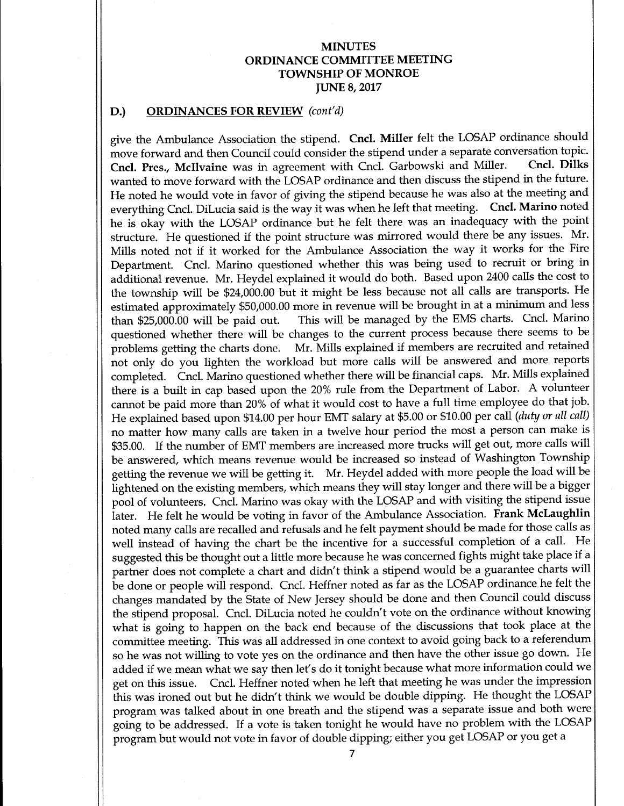#### D.) ORDINANCES FOR REVIEW (cont'd)

give the Ambulance Association the stipend. Cncl. Miller felt the LOSAP ordinance should move forward and then Council could consider the stipend under a separate conversation topic.<br>Cncl. Pres. McIlvaine was in agreement with Cncl. Garbowski and Miller. Cncl. Dilks Cncl. Pres., McIlvaine was in agreement with Cncl. Garbowski and Miller. wanted to move forward with the LOSAP ordinance and then discuss the stipend in the future. He noted he would vote in favor of giving the stipend because he was also at the meeting and everything Cncl. DiLucia said is the way it was when he left that meeting. Cncl. Marino noted he is okay with the LOSAP ordinance but he felt there was an inadequacy with the point structure. He questioned if the point structure was mirrored would there be any issues. Mr. Mills noted not if it worked for the Ambulance Association the way it works for the Fire Department. Cncl. Marino questioned whether this was being used to recruit or bring in additional revenue. Mr. Heydel explained it would do both. Based upon 2400 calls the cost to the township will be \$24,000.00 but it might be less because not all calls are transports. He estimated approximately \$50,000.00 more in revenue will be brought in at a minimum and less<br>than \$25,000.00 will be paid out. This will be managed by the EMS charts. Cncl. Marino This will be managed by the EMS charts. Cncl. Marino questioned whether there will be changes to the current process because there seems to be problems getting the charts done. Mr. Mills explained if members are recruited and retained not only do you lighten the workload but more calls will be answered and more reports completed. Cncl. Marino questioned whether there will be financial caps. Mr. Mills explained there is <sup>a</sup> built in cap based upon the 20% rule from the Department of Labor. A volunteer cannot be paid more than 20% of what it would cost to have <sup>a</sup> full time employee do that job. He explained based upon \$14.00 per hour EMT salary at \$5.00 or \$10.00 per call (duty or all call) no matter how many calls are taken in a twelve hour period the most a person can make is 35.00. If the number of EMT members are increased more trucks will get out, more calls will be answered, which means revenue would be increased so instead of Washington Township getting the revenue we will be getting it. Mr. Heydel added with more people the load will be lightened on the existing members, which means they will stay longer and there will be <sup>a</sup> bigger pool of volunteers. Cncl. Marino was okay with the LOSAP and with visiting the stipend issue later. He felt he would be voting in favor of the Ambulance Association. Frank McLaughlin noted many calls are recalled and refusals and he felt payment should be made for those calls as well instead of having the chart be the incentive for <sup>a</sup> successful completion of <sup>a</sup> call. He suggested this be thought out a little more because he was concerned fights might take place if <sup>a</sup> partner does not complete <sup>a</sup> chart and didn't think <sup>a</sup> stipend would be <sup>a</sup> guarantee charts will be done or people will respond. Cncl. Heffner noted as far as the LOSAP ordinance he felt the changes mandated by the State of New Jersey should be done and then Council could discuss the stipend proposal. Cncl. DiLucia noted he couldn't vote on the ordinance without knowing what is going to happen on the back end because of the discussions that took place at the committee meeting. This was all addressed in one context to avoid going back to a referendum so he was not willing to vote yes on the ordinance and then have the other issue go down. He added if we mean what we say then let's do it tonight because what more information could we get on this issue. Cncl. Heffner noted when he left that meeting he was under the impression this was ironed out but he didn't think we would be double dipping. He thought the LOSAP program was talked about in one breath and the stipend was a separate issue and both were going to be addressed. If <sup>a</sup> vote is taken tonight he would have no problem with the LOSAP program but would not vote in favor of double dipping; either you get LOSAP or you get a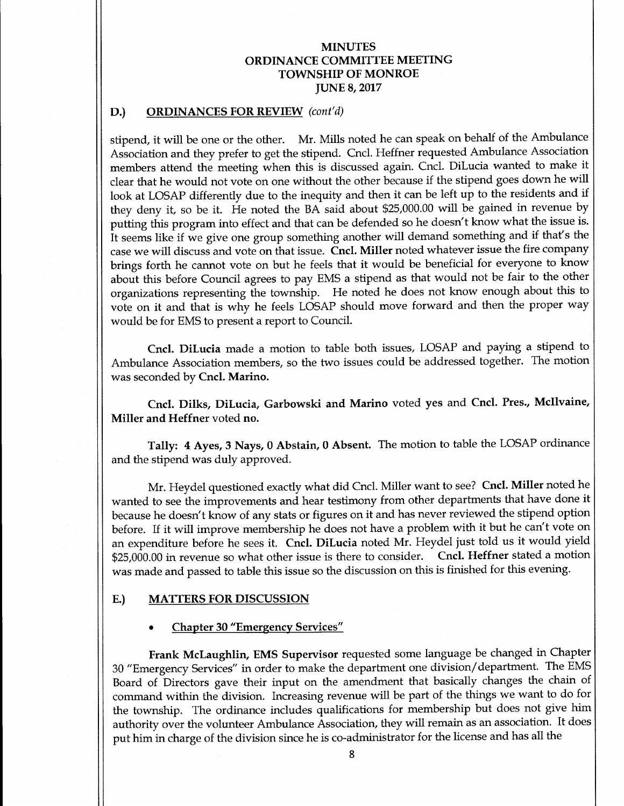#### D.) ORDINANCES FOR REVIEW (cont'd)

stipend, it will be one or the other. Mr. Mills noted he can speak on behalf of the Ambulance Association and they prefer to get the stipend. Cncl. Heffner requested Ambulance Association members attend the meeting when this is discussed again. Cncl. DiLucia wanted to make it clear that he would not vote on one without the other because if the stipend goes down he will look at LOSAP differently due to the inequity and then it can be left up to the residents and if they deny it, so be it. He noted the BA said about \$25,000.00 will be gained in revenue by putting this program into effect and that can be defended so he doesn't know what the issue is. It seems like if we give one group something another will demand something and if that's the case we will discuss and vote on that issue. Cncl. Miller noted whatever issue the fire company brings forth he cannot vote on but he feels that it would be beneficial for everyone to know about this before Council agrees to pay EMS a stipend as that would not be fair to the other organizations representing the township. He noted he does not know enough about this to vote on it and that is why he feels LOSAP should move forward and then the proper way would be for EMS to present a report to Council.

Cncl. DiLucia made a motion to table both issues, LOSAP and paying a stipend to Ambulance Association members, so the two issues could be addressed together. The motion was seconded by Cncl. Marino.

Cncl. Dilks, DiLucia, Garbowski and Marino voted yes and Cncl. Pres., Mcllvaine, Miller and Heffner voted no.

Tally: 4 Ayes, 3 Nays, 0 Abstain, 0 Absent. The motion to table the LOSAP ordinance and the stipend was duly approved.

Mr. Heydel questioned exactly what did Cncl. Miller want to see? Cncl. Miller noted he wanted to see the improvements and hear testimony from other departments that have done it because he doesn't know of any stats or figures on it and has never reviewed the stipend option before. If it will improve membership he does not have a problem with it but he can't vote on an expenditure before he sees it. Cncl. DiLucia noted Mr. Heydel just told us it would yield 25,000.00 in revenue so what other issue is there to consider. Cncl. Heffner stated <sup>a</sup> motion was made and passed to table this issue so the discussion on this is finished for this evening.

#### E.) MATTERS FOR DISCUSSION

#### Chapter 30 "Emergency Services"

Frank McLaughlin, EMS Supervisor requested some language be changed in Chapter 30 " Emergency Services" in order to make the department one division/ department. The EMS Board of Directors gave their input on the amendment that basically changes the chain of command within the division. Increasing revenue will be part of the things we want to do for the township. The ordinance includes qualifications for membership but does not give him authority over the volunteer Ambulance Association, they will remain as an association. It does put him in charge of the division since he is co-administrator for the license and has all the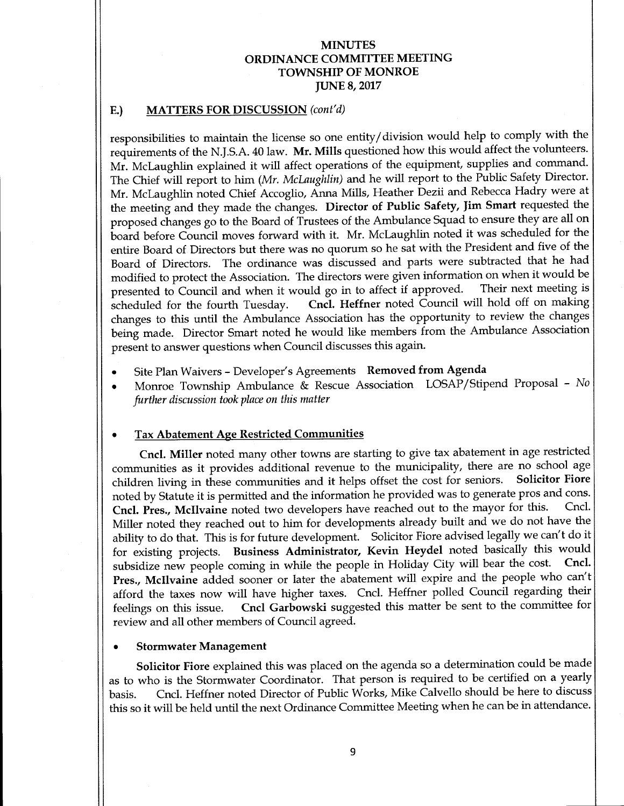## E.) MATTERS FOR DISCUSSION (cont'd)

responsibilities to maintain the license so one entity/ division would help to comply with the requirements of the N.J.S.A. 40 law. Mr. Mills questioned how this would affect the volunteers. Mr. McLaughlin explained it will affect operations of the equipment, supplies and command. The Chief will report to him (Mr. McLaughlin) and he will report to the Public Safety Director. Mr. McLaughlin noted Chief Accoglio, Anna Mills, Heather Dezii and Rebecca Hadry were at the meeting and they made the changes. Director of Public Safety, Jim Smart requested the proposed changes go to the Board of Trustees of the Ambulance Squad to ensure they are all on board before Council moves forward with it. Mr. McLaughlin noted it was scheduled for the entire Board of Directors but there was no quorum so he sat with the President and five of the Board of Directors. The ordinance was discussed and parts were subtracted that he had modified to protect the Association. The directors were given information on when it would be presented to Council and when it would go in to affect if approved. Their next meeting is presented to Council and when it would go in to affect if approved. scheduled for the fourth Tuesday. Cncl. Heffner noted Council will hold off on making changes to this until the Ambulance Association has the opportunity to review the changes being made. Director Smart noted he would like members from the Ambulance Association present to answer questions when Council discusses this again.

- Site Plan Waivers Developer's Agreements Removed from Agenda
- Monroe Township Ambulance & Rescue Association LOSAP/Stipend Proposal No  $\bullet$ further discussion took place on this matter

#### Tax Abatement Age Restricted Communities  $\bullet$

Cncl. Miller noted many other towns are starting to give tax abatement in age restricted communities as it provides additional revenue to the municipality, there are no school age children living in these communities and it helps offset the cost for seniors. Solicitor Fiore noted by Statute it is permitted and the information he provided was to generate pros and cons.<br>Cncl. Pres. McIlvaine poted two developers have reached out to the mayor for this. Cncl. Cncl. Pres., McIlvaine noted two developers have reached out to the mayor for this. Miller noted they reached out to him for developments already built and we do not have the ability to do that. This is for future development. Solicitor Fiore advised legally we can't do it for existing projects. Business Administrator, Kevin Heydel noted basically this would<br>subsidize new people coming in while the people in Holiday City will bear the cost. Cncl. subsidize new people coming in while the people in Holiday City will bear the cost. Pres., McIlvaine added sooner or later the abatement will expire and the people who can't afford the taxes now will have higher taxes. Cncl. Heffner polled Council regarding their feelings on this issue. Cncl Garbowski suggested this matter be sent to the committee for review and all other members of Council agreed.

#### Stormwater Management

Solicitor Fiore explained this was placed on the agenda so a determination could be made as to who is the Stormwater Coordinator. That person is required to be certified on a yearly basis. Cncl. Heffner noted Director of Public Works, Mike Calvello should be here to discuss this so it will be held until the next Ordinance Committee Meeting when he can be in attendance.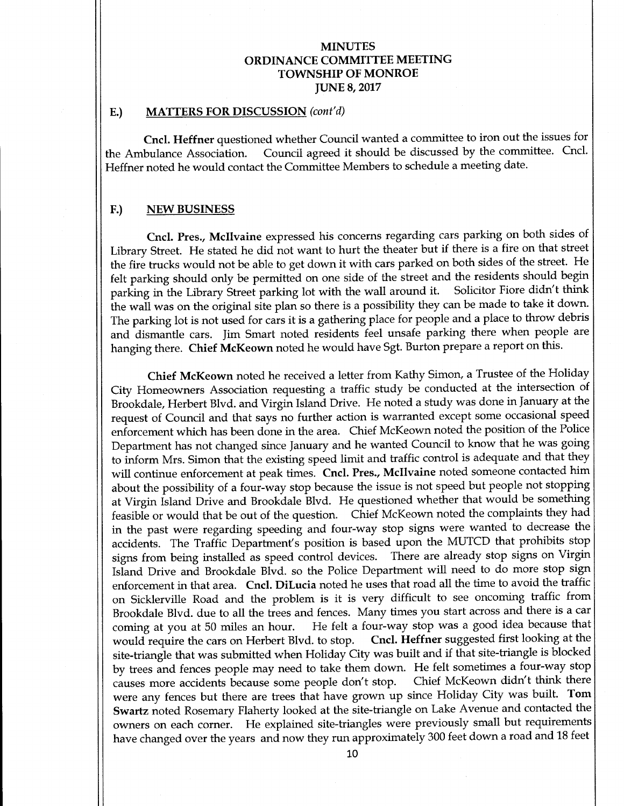#### E.) MATTERS FOR DISCUSSION (cont'd)

Cncl. Heffner questioned whether Council wanted a committee to iron out the issues for the Ambulance Association. Council agreed it should be discussed by the committee. Cncl. Heffner noted he would contact the Committee Members to schedule a meeting date.

#### F.) NEW BUSINESS

Cncl. Pres., Mcllvaine expressed his concerns regarding cars parking on both sides of Library Street. He stated he did not want to hurt the theater but if there is <sup>a</sup> fire on that street the fire trucks would not be able to get down it with cars parked on both sides of the street. He felt parking should only be permitted on one side of the street and the residents should begin<br>parking in the Library Street parking lot with the wall around it. Solicitor Fiore didn't think parking in the Library Street parking lot with the wall around it. the wall was on the original site plan so there is <sup>a</sup> possibility they can be made to take it down. The parking lot is not used for cars it is <sup>a</sup> gathering place for people and <sup>a</sup> place to throw debris and dismantle cars. Jim Smart noted residents feel unsafe parking there when people are hanging there. Chief McKeown noted he would have Sgt. Burton prepare a report on this.

Chief McKeown noted he received a letter from Kathy Simon, a Trustee of the Holiday City Homeowners Association requesting a traffic study be conducted at the intersection of Brookdale, Herbert Blvd. and Virgin Island Drive. He noted a study was done in January at the request of Council and that says no further action is warranted except some occasional speed enforcement which has been done in the area. Chief McKeown noted the position of the Police Department has not changed since January and he wanted Council to know that he was going to inform Mrs. Simon that the existing speed limit and traffic control is adequate and that they will continue enforcement at peak times. Cncl. Pres., Mcllvaine noted someone contacted him about the possibility of a four-way stop because the issue is not speed but people not stopping at Virgin Island Drive and Brookdale Blvd. He questioned whether that would be something feasible or would that be out of the question. Chief McKeown noted the complaints they had in the past were regarding speeding and four-way stop signs were wanted to decrease the accidents. The Traffic Department's position is based upon the MUTCD that prohibits stop signs from being installed as speed control devices. There are already stop signs on Virgin Island Drive and Brookdale Blvd. so the Police Department will need to do more stop sign enforcement in that area. Cncl. DiLucia noted he uses that road all the time to avoid the traffic on Sicklerville Road and the problem is it is very difficult to see oncoming traffic from Brookdale Blvd. due to all the trees and fences. Many times you start across and there is <sup>a</sup> car coming at you at 50 miles an hour. He felt a four-way stop was a good idea because that<br>would require the cars on Herbert Blvd. to stop. Cncl. Heffner suggested first looking at the would require the cars on Herbert Blvd. to stop. site-triangle that was submitted when Holiday City was built and if that site-triangle is blocked by trees and fences people may need to take them down. He felt sometimes <sup>a</sup> four-way stop causes more accidents because some people don't Chief McKeown didn't think there were any fences but there are trees that have grown up since Holiday City was built. Tom Swartz noted Rosemary Flaherty looked at the site-triangle on Lake Avenue and contacted the owners on each corner. He explained site-triangles were previously small but requirements have changed over the years and now they run approximately 300 feet down a road and 18 feet